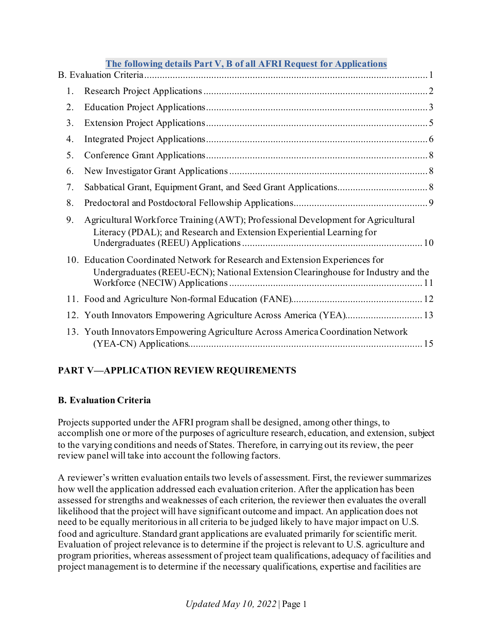|    | The following details Part V, B of all AFRI Request for Applications                                                                                             |
|----|------------------------------------------------------------------------------------------------------------------------------------------------------------------|
|    |                                                                                                                                                                  |
| 1. |                                                                                                                                                                  |
| 2. |                                                                                                                                                                  |
| 3. |                                                                                                                                                                  |
| 4. |                                                                                                                                                                  |
| 5. |                                                                                                                                                                  |
| 6. |                                                                                                                                                                  |
| 7. |                                                                                                                                                                  |
| 8. |                                                                                                                                                                  |
| 9. | Agricultural Workforce Training (AWT); Professional Development for Agricultural<br>Literacy (PDAL); and Research and Extension Experiential Learning for        |
|    | 10. Education Coordinated Network for Research and Extension Experiences for<br>Undergraduates (REEU-ECN); National Extension Clearinghouse for Industry and the |
|    |                                                                                                                                                                  |
|    | 12. Youth Innovators Empowering Agriculture Across America (YEA) 13                                                                                              |
|    | 13. Youth Innovators Empowering Agriculture Across America Coordination Network                                                                                  |

# **PART V—APPLICATION REVIEW REQUIREMENTS**

## <span id="page-0-0"></span>**B. Evaluation Criteria**

Projects supported under the AFRI program shall be designed, among other things, to accomplish one or more of the purposes of agriculture research, education, and extension, subject to the varying conditions and needs of States. Therefore, in carrying out its review, the peer review panel will take into account the following factors.

A reviewer's written evaluation entails two levels of assessment. First, the reviewer summarizes how well the application addressed each evaluation criterion. After the application has been assessed for strengths and weaknesses of each criterion, the reviewer then evaluates the overall likelihood that the project will have significant outcome and impact. An application does not need to be equally meritorious in all criteria to be judged likely to have major impact on U.S. food and agriculture. Standard grant applications are evaluated primarily for scientific merit. Evaluation of project relevance is to determine if the project is relevant to U.S. agriculture and program priorities, whereas assessment of project team qualifications, adequacy of facilities and project management is to determine if the necessary qualifications, expertise and facilities are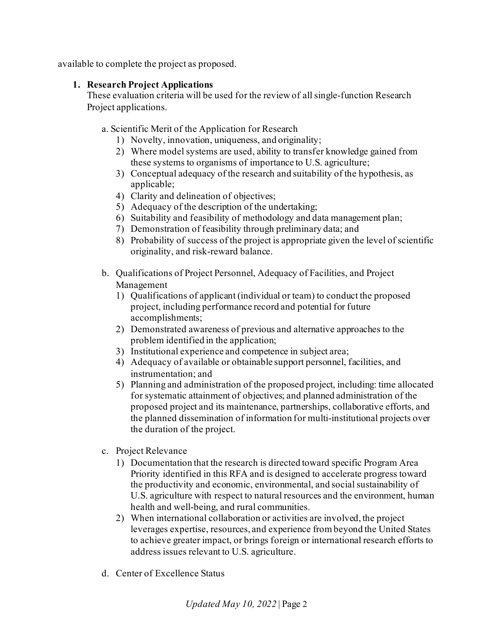<span id="page-1-0"></span>available to complete the project as proposed.

#### **1. Research Project Applications**

These evaluation criteria will be used for the review of all single-function Research Project applications.

a. Scientific Merit of the Application for Research

- 1) Novelty, innovation, uniqueness, and originality;
- 2) Where model systems are used, ability to transfer knowledge gained from these systems to organisms of importance to U.S. agriculture;
- 3) Conceptual adequacy of the research and suitability of the hypothesis, as applicable;
- 4) Clarity and delineation of objectives;
- 5) Adequacy of the description of the undertaking;
- 6) Suitability and feasibility of methodology and data management plan;
- 7) Demonstration of feasibility through preliminary data; and
- 8) Probability of success of the project is appropriate given the level of scientific originality, and risk-reward balance.
- b. Qualifications of Project Personnel, Adequacy of Facilities, and Project Management
	- 1) Qualifications of applicant (individual or team) to conduct the proposed project, including performance record and potential for future accomplishments;
	- 2) Demonstrated awareness of previous and alternative approaches to the problem identified in the application;
	- 3) Institutional experience and competence in subject area;
	- 4) Adequacy of available or obtainable support personnel, facilities, and instrumentation; and
	- 5) Planning and administration of the proposed project, including: time allocated for systematic attainment of objectives; and planned administration of the proposed project and its maintenance, partnerships, collaborative efforts, and the planned dissemination of information for multi-institutional projects over the duration of the project.
- c. Project Relevance
	- 1) Documentation that the research is directed toward specific Program Area Priority identified in this RFA and is designed to accelerate progress toward the productivity and economic, environmental, and social sustainability of U.S. agriculture with respect to natural resources and the environment, human health and well-being, and rural communities.
	- 2) When international collaboration or activities are involved, the project leverages expertise, resources, and experience from beyond the United States to achieve greater impact, or brings foreign or international research efforts to address issues relevant to U.S. agriculture.
- d. Center of Excellence Status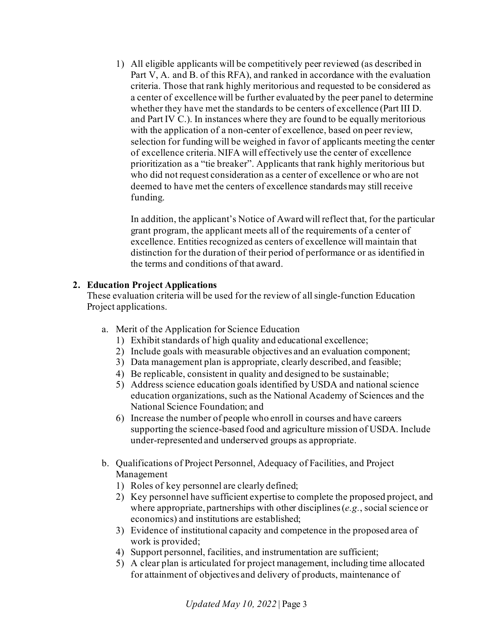1) All eligible applicants will be competitively peer reviewed (as described in Part V, A. and B. of this RFA), and ranked in accordance with the evaluation criteria. Those that rank highly meritorious and requested to be considered as a center of excellence will be further evaluated by the peer panel to determine whether they have met the standards to be centers of excellence (Part III D. and Part IV C.). In instances where they are found to be equally meritorious with the application of a non-center of excellence, based on peer review, selection for funding will be weighed in favor of applicants meeting the center of excellence criteria. NIFA will effectively use the center of excellence prioritization as a "tie breaker". Applicants that rank highly meritorious but who did not request consideration as a center of excellence or who are not deemed to have met the centers of excellence standards may still receive funding.

In addition, the applicant's Notice of Award will reflect that, for the particular grant program, the applicant meets all of the requirements of a center of excellence. Entities recognized as centers of excellence will maintain that distinction for the duration of their period of performance or as identified in the terms and conditions of that award.

#### <span id="page-2-0"></span>**2. Education Project Applications**

These evaluation criteria will be used for the review of all single-function Education Project applications.

- a. Merit of the Application for Science Education
	- 1) Exhibit standards of high quality and educational excellence;
	- 2) Include goals with measurable objectives and an evaluation component;
	- 3) Data management plan is appropriate, clearly described, and feasible;
	- 4) Be replicable, consistent in quality and designed to be sustainable;
	- 5) Address science education goals identified by USDA and national science education organizations, such as the National Academy of Sciences and the National Science Foundation; and
	- 6) Increase the number of people who enroll in courses and have careers supporting the science-based food and agriculture mission of USDA. Include under-represented and underserved groups as appropriate.
- b. Qualifications of Project Personnel, Adequacy of Facilities, and Project Management
	- 1) Roles of key personnel are clearly defined;
	- 2) Key personnel have sufficient expertise to complete the proposed project, and where appropriate, partnerships with other disciplines (*e.g.*, social science or economics) and institutions are established;
	- 3) Evidence of institutional capacity and competence in the proposed area of work is provided;
	- 4) Support personnel, facilities, and instrumentation are sufficient;
	- 5) A clear plan is articulated for project management, including time allocated for attainment of objectives and delivery of products, maintenance of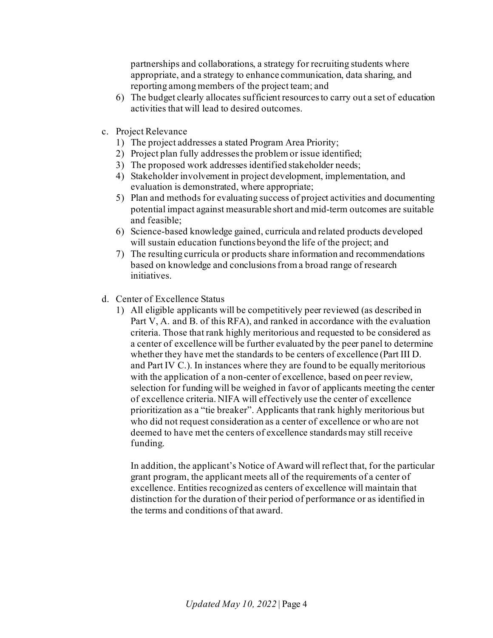partnerships and collaborations, a strategy for recruiting students where appropriate, and a strategy to enhance communication, data sharing, and reporting among members of the project team; and

- 6) The budget clearly allocates sufficient resources to carry out a set of education activities that will lead to desired outcomes.
- c. Project Relevance
	- 1) The project addresses a stated Program Area Priority;
	- 2) Project plan fully addresses the problem or issue identified;
	- 3) The proposed work addresses identified stakeholder needs;
	- 4) Stakeholder involvement in project development, implementation, and evaluation is demonstrated, where appropriate;
	- 5) Plan and methods for evaluating success of project activities and documenting potential impact against measurable short and mid-term outcomes are suitable and feasible;
	- 6) Science-based knowledge gained, curricula and related products developed will sustain education functions beyond the life of the project; and
	- 7) The resulting curricula or products share information and recommendations based on knowledge and conclusions from a broad range of research initiatives.
- d. Center of Excellence Status
	- 1) All eligible applicants will be competitively peer reviewed (as described in Part V, A. and B. of this RFA), and ranked in accordance with the evaluation criteria. Those that rank highly meritorious and requested to be considered as a center of excellence will be further evaluated by the peer panel to determine whether they have met the standards to be centers of excellence (Part III D. and Part IV C.). In instances where they are found to be equally meritorious with the application of a non-center of excellence, based on peer review, selection for funding will be weighed in favor of applicants meeting the center of excellence criteria. NIFA will effectively use the center of excellence prioritization as a "tie breaker". Applicants that rank highly meritorious but who did not request consideration as a center of excellence or who are not deemed to have met the centers of excellence standards may still receive funding.

In addition, the applicant's Notice of Award will reflect that, for the particular grant program, the applicant meets all of the requirements of a center of excellence. Entities recognized as centers of excellence will maintain that distinction for the duration of their period of performance or as identified in the terms and conditions of that award.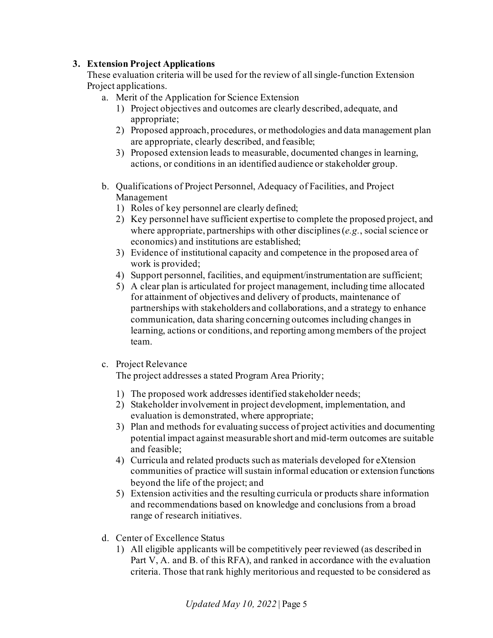#### <span id="page-4-0"></span>**3. Extension Project Applications**

These evaluation criteria will be used for the review of all single-function Extension Project applications.

- a. Merit of the Application for Science Extension
	- 1) Project objectives and outcomes are clearly described, adequate, and appropriate;
	- 2) Proposed approach, procedures, or methodologies and data management plan are appropriate, clearly described, and feasible;
	- 3) Proposed extension leads to measurable, documented changes in learning, actions, or conditions in an identified audience or stakeholder group.
- b. Qualifications of Project Personnel, Adequacy of Facilities, and Project Management
	- 1) Roles of key personnel are clearly defined;
	- 2) Key personnel have sufficient expertise to complete the proposed project, and where appropriate, partnerships with other disciplines (*e.g.*, social science or economics) and institutions are established;
	- 3) Evidence of institutional capacity and competence in the proposed area of work is provided;
	- 4) Support personnel, facilities, and equipment/instrumentation are sufficient;
	- 5) A clear plan is articulated for project management, including time allocated for attainment of objectives and delivery of products, maintenance of partnerships with stakeholders and collaborations, and a strategy to enhance communication, data sharing concerning outcomes including changes in learning, actions or conditions, and reporting among members of the project team.
- c. Project Relevance

The project addresses a stated Program Area Priority;

- 1) The proposed work addresses identified stakeholder needs;
- 2) Stakeholder involvement in project development, implementation, and evaluation is demonstrated, where appropriate;
- 3) Plan and methods for evaluating success of project activities and documenting potential impact against measurable short and mid-term outcomes are suitable and feasible;
- 4) Curricula and related products such as materials developed for eXtension communities of practice will sustain informal education or extension functions beyond the life of the project; and
- 5) Extension activities and the resulting curricula or products share information and recommendations based on knowledge and conclusions from a broad range of research initiatives.
- d. Center of Excellence Status
	- 1) All eligible applicants will be competitively peer reviewed (as described in Part V, A. and B. of this RFA), and ranked in accordance with the evaluation criteria. Those that rank highly meritorious and requested to be considered as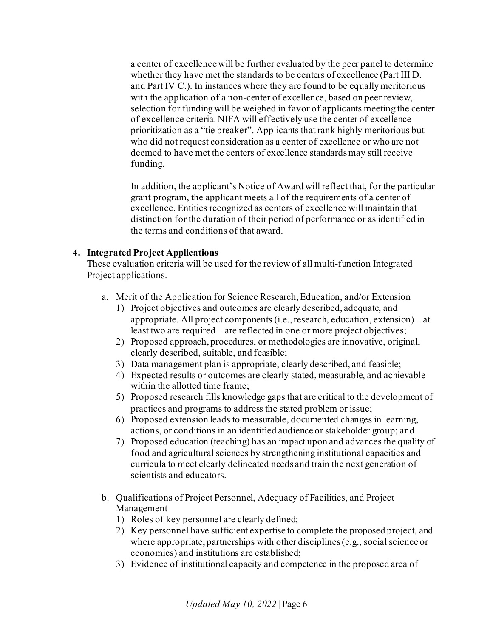a center of excellence will be further evaluated by the peer panel to determine whether they have met the standards to be centers of excellence (Part III D. and Part IV C.). In instances where they are found to be equally meritorious with the application of a non-center of excellence, based on peer review, selection for funding will be weighed in favor of applicants meeting the center of excellence criteria. NIFA will effectively use the center of excellence prioritization as a "tie breaker". Applicants that rank highly meritorious but who did not request consideration as a center of excellence or who are not deemed to have met the centers of excellence standards may still receive funding.

In addition, the applicant's Notice of Award will reflect that, for the particular grant program, the applicant meets all of the requirements of a center of excellence. Entities recognized as centers of excellence will maintain that distinction for the duration of their period of performance or as identified in the terms and conditions of that award.

#### <span id="page-5-0"></span>**4. Integrated Project Applications**

These evaluation criteria will be used for the review of all multi-function Integrated Project applications.

- a. Merit of the Application for Science Research, Education, and/or Extension
	- 1) Project objectives and outcomes are clearly described, adequate, and appropriate. All project components (i.e., research, education, extension) – at least two are required – are reflected in one or more project objectives;
	- 2) Proposed approach, procedures, or methodologies are innovative, original, clearly described, suitable, and feasible;
	- 3) Data management plan is appropriate, clearly described, and feasible;
	- 4) Expected results or outcomes are clearly stated, measurable, and achievable within the allotted time frame;
	- 5) Proposed research fills knowledge gaps that are critical to the development of practices and programs to address the stated problem or issue;
	- 6) Proposed extension leads to measurable, documented changes in learning, actions, or conditions in an identified audience or stakeholder group; and
	- 7) Proposed education (teaching) has an impact upon and advances the quality of food and agricultural sciences by strengthening institutional capacities and curricula to meet clearly delineated needs and train the next generation of scientists and educators.
- b. Qualifications of Project Personnel, Adequacy of Facilities, and Project Management
	- 1) Roles of key personnel are clearly defined;
	- 2) Key personnel have sufficient expertise to complete the proposed project, and where appropriate, partnerships with other disciplines (e.g., social science or economics) and institutions are established;
	- 3) Evidence of institutional capacity and competence in the proposed area of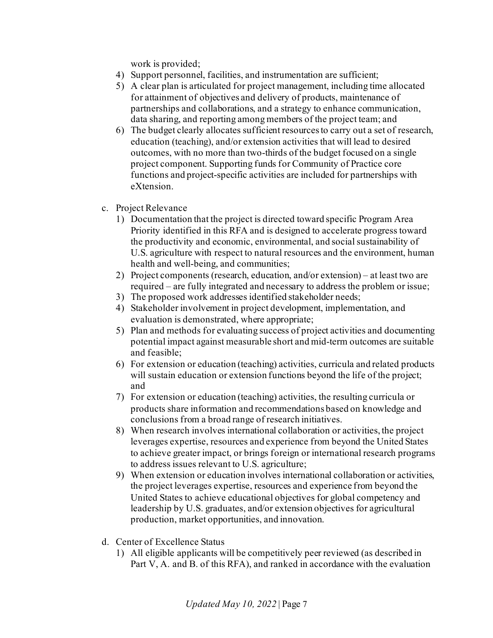work is provided;

- 4) Support personnel, facilities, and instrumentation are sufficient;
- 5) A clear plan is articulated for project management, including time allocated for attainment of objectives and delivery of products, maintenance of partnerships and collaborations, and a strategy to enhance communication, data sharing, and reporting among members of the project team; and
- 6) The budget clearly allocates sufficient resources to carry out a set of research, education (teaching), and/or extension activities that will lead to desired outcomes, with no more than two-thirds of the budget focused on a single project component. Supporting funds for Community of Practice core functions and project-specific activities are included for partnerships with eXtension.
- c. Project Relevance
	- 1) Documentation that the project is directed toward specific Program Area Priority identified in this RFA and is designed to accelerate progress toward the productivity and economic, environmental, and social sustainability of U.S. agriculture with respect to natural resources and the environment, human health and well-being, and communities;
	- 2) Project components (research, education, and/or extension) at least two are required – are fully integrated and necessary to address the problem or issue;
	- 3) The proposed work addresses identified stakeholder needs;
	- 4) Stakeholder involvement in project development, implementation, and evaluation is demonstrated, where appropriate;
	- 5) Plan and methods for evaluating success of project activities and documenting potential impact against measurable short and mid-term outcomes are suitable and feasible;
	- 6) For extension or education (teaching) activities, curricula and related products will sustain education or extension functions beyond the life of the project; and
	- 7) For extension or education (teaching) activities, the resulting curricula or products share information and recommendations based on knowledge and conclusions from a broad range of research initiatives.
	- 8) When research involves international collaboration or activities, the project leverages expertise, resources and experience from beyond the United States to achieve greater impact, or brings foreign or international research programs to address issues relevant to U.S. agriculture;
	- 9) When extension or education involves international collaboration or activities, the project leverages expertise, resources and experience from beyond the United States to achieve educational objectives for global competency and leadership by U.S. graduates, and/or extension objectives for agricultural production, market opportunities, and innovation.
- d. Center of Excellence Status
	- 1) All eligible applicants will be competitively peer reviewed (as described in Part V, A. and B. of this RFA), and ranked in accordance with the evaluation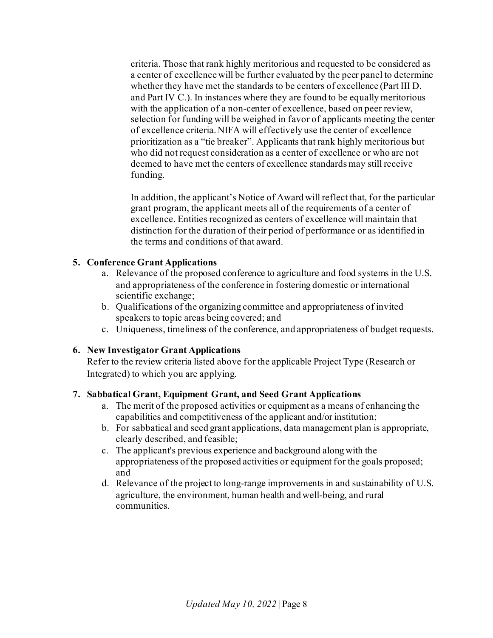criteria. Those that rank highly meritorious and requested to be considered as a center of excellence will be further evaluated by the peer panel to determine whether they have met the standards to be centers of excellence (Part III D. and Part IV C.). In instances where they are found to be equally meritorious with the application of a non-center of excellence, based on peer review, selection for funding will be weighed in favor of applicants meeting the center of excellence criteria. NIFA will effectively use the center of excellence prioritization as a "tie breaker". Applicants that rank highly meritorious but who did not request consideration as a center of excellence or who are not deemed to have met the centers of excellence standards may still receive funding.

In addition, the applicant's Notice of Award will reflect that, for the particular grant program, the applicant meets all of the requirements of a center of excellence. Entities recognized as centers of excellence will maintain that distinction for the duration of their period of performance or as identified in the terms and conditions of that award.

#### <span id="page-7-0"></span>**5. Conference Grant Applications**

- a. Relevance of the proposed conference to agriculture and food systems in the U.S. and appropriateness of the conference in fostering domestic or international scientific exchange;
- b. Qualifications of the organizing committee and appropriateness of invited speakers to topic areas being covered; and
- c. Uniqueness, timeliness of the conference, and appropriateness of budget requests.

## <span id="page-7-1"></span>**6. New Investigator Grant Applications**

Refer to the review criteria listed above for the applicable Project Type (Research or Integrated) to which you are applying.

#### <span id="page-7-2"></span>**7. Sabbatical Grant, Equipment Grant, and Seed Grant Applications**

- a. The merit of the proposed activities or equipment as a means of enhancing the capabilities and competitiveness of the applicant and/or institution;
- b. For sabbatical and seed grant applications, data management plan is appropriate, clearly described, and feasible;
- c. The applicant's previous experience and background along with the appropriateness of the proposed activities or equipment for the goals proposed; and
- d. Relevance of the project to long-range improvements in and sustainability of U.S. agriculture, the environment, human health and well-being, and rural communities.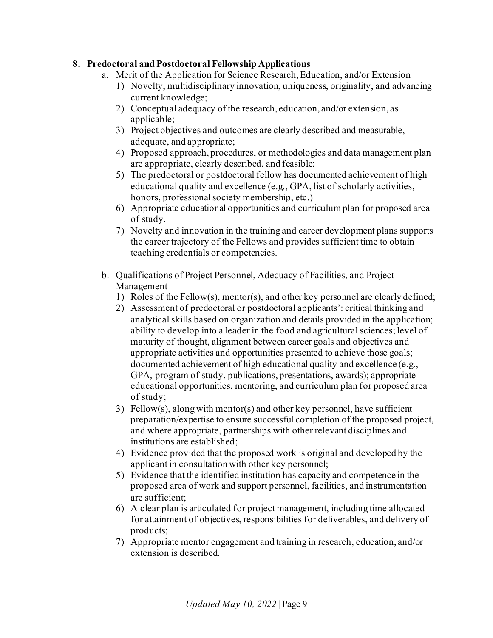#### <span id="page-8-0"></span>**8. Predoctoral and Postdoctoral Fellowship Applications**

- a. Merit of the Application for Science Research, Education, and/or Extension
	- 1) Novelty, multidisciplinary innovation, uniqueness, originality, and advancing current knowledge;
	- 2) Conceptual adequacy of the research, education, and/or extension, as applicable;
	- 3) Project objectives and outcomes are clearly described and measurable, adequate, and appropriate;
	- 4) Proposed approach, procedures, or methodologies and data management plan are appropriate, clearly described, and feasible;
	- 5) The predoctoral or postdoctoral fellow has documented achievement of high educational quality and excellence (e.g., GPA, list of scholarly activities, honors, professional society membership, etc.)
	- 6) Appropriate educational opportunities and curriculum plan for proposed area of study.
	- 7) Novelty and innovation in the training and career development plans supports the career trajectory of the Fellows and provides sufficient time to obtain teaching credentials or competencies.
- b. Qualifications of Project Personnel, Adequacy of Facilities, and Project Management
	- 1) Roles of the Fellow(s), mentor(s), and other key personnel are clearly defined;
	- 2) Assessment of predoctoral or postdoctoral applicants': critical thinking and analytical skills based on organization and details provided in the application; ability to develop into a leader in the food and agricultural sciences; level of maturity of thought, alignment between career goals and objectives and appropriate activities and opportunities presented to achieve those goals; documented achievement of high educational quality and excellence (e.g., GPA, program of study, publications, presentations, awards); appropriate educational opportunities, mentoring, and curriculum plan for proposed area of study;
	- 3) Fellow(s), along with mentor(s) and other key personnel, have sufficient preparation/expertise to ensure successful completion of the proposed project, and where appropriate, partnerships with other relevant disciplines and institutions are established;
	- 4) Evidence provided that the proposed work is original and developed by the applicant in consultation with other key personnel;
	- 5) Evidence that the identified institution has capacity and competence in the proposed area of work and support personnel, facilities, and instrumentation are sufficient;
	- 6) A clear plan is articulated for project management, including time allocated for attainment of objectives, responsibilities for deliverables, and delivery of products;
	- 7) Appropriate mentor engagement and training in research, education, and/or extension is described.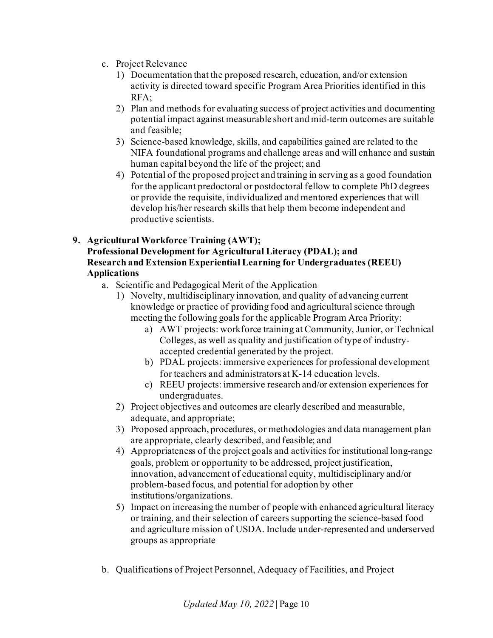- c. Project Relevance
	- 1) Documentation that the proposed research, education, and/or extension activity is directed toward specific Program Area Priorities identified in this RFA;
	- 2) Plan and methods for evaluating success of project activities and documenting potential impact against measurable short and mid-term outcomes are suitable and feasible;
	- 3) Science-based knowledge, skills, and capabilities gained are related to the NIFA foundational programs and challenge areas and will enhance and sustain human capital beyond the life of the project; and
	- 4) Potential of the proposed project and training in serving as a good foundation for the applicant predoctoral or postdoctoral fellow to complete PhD degrees or provide the requisite, individualized and mentored experiences that will develop his/her research skills that help them become independent and productive scientists.

#### <span id="page-9-0"></span>**9. Agricultural Workforce Training (AWT); Professional Development for Agricultural Literacy (PDAL); and Research and Extension Experiential Learning for Undergraduates (REEU) Applications**

- a. Scientific and Pedagogical Merit of the Application
	- 1) Novelty, multidisciplinary innovation, and quality of advancing current knowledge or practice of providing food and agricultural science through meeting the following goals for the applicable Program Area Priority:
		- a) AWT projects: workforce training at Community, Junior, or Technical Colleges, as well as quality and justification of type of industryaccepted credential generated by the project.
		- b) PDAL projects: immersive experiences for professional development for teachers and administrators at K-14 education levels.
		- c) REEU projects: immersive research and/or extension experiences for undergraduates.
	- 2) Project objectives and outcomes are clearly described and measurable, adequate, and appropriate;
	- 3) Proposed approach, procedures, or methodologies and data management plan are appropriate, clearly described, and feasible; and
	- 4) Appropriateness of the project goals and activities for institutional long-range goals, problem or opportunity to be addressed, project justification, innovation, advancement of educational equity, multidisciplinary and/or problem-based focus, and potential for adoption by other institutions/organizations.
	- 5) Impact on increasing the number of people with enhanced agricultural literacy or training, and their selection of careers supporting the science-based food and agriculture mission of USDA. Include under-represented and underserved groups as appropriate
- b. Qualifications of Project Personnel, Adequacy of Facilities, and Project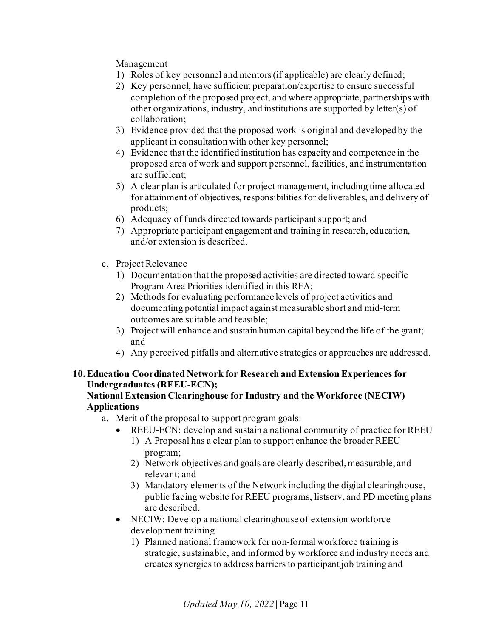Management

- 1) Roles of key personnel and mentors (if applicable) are clearly defined;
- 2) Key personnel, have sufficient preparation/expertise to ensure successful completion of the proposed project, and where appropriate, partnerships with other organizations, industry, and institutions are supported by letter(s) of collaboration;
- 3) Evidence provided that the proposed work is original and developed by the applicant in consultation with other key personnel;
- 4) Evidence that the identified institution has capacity and competence in the proposed area of work and support personnel, facilities, and instrumentation are sufficient;
- 5) A clear plan is articulated for project management, including time allocated for attainment of objectives, responsibilities for deliverables, and delivery of products;
- 6) Adequacy of funds directed towards participant support; and
- 7) Appropriate participant engagement and training in research, education, and/or extension is described.
- c. Project Relevance
	- 1) Documentation that the proposed activities are directed toward specific Program Area Priorities identified in this RFA;
	- 2) Methods for evaluating performance levels of project activities and documenting potential impact against measurable short and mid-term outcomes are suitable and feasible;
	- 3) Project will enhance and sustain human capital beyond the life of the grant; and
	- 4) Any perceived pitfalls and alternative strategies or approaches are addressed.

## <span id="page-10-0"></span>**10.Education Coordinated Network for Research and Extension Experiences for Undergraduates (REEU-ECN);**

#### **National Extension Clearinghouse for Industry and the Workforce (NECIW) Applications**

- a. Merit of the proposal to support program goals:
	- REEU-ECN: develop and sustain a national community of practice for REEU
		- 1) A Proposal has a clear plan to support enhance the broader REEU program;
		- 2) Network objectives and goals are clearly described, measurable, and relevant; and
		- 3) Mandatory elements of the Network including the digital clearinghouse, public facing website for REEU programs, listserv, and PD meeting plans are described.
	- NECIW: Develop a national clearinghouse of extension workforce development training
		- 1) Planned national framework for non-formal workforce training is strategic, sustainable, and informed by workforce and industry needs and creates synergies to address barriers to participant job training and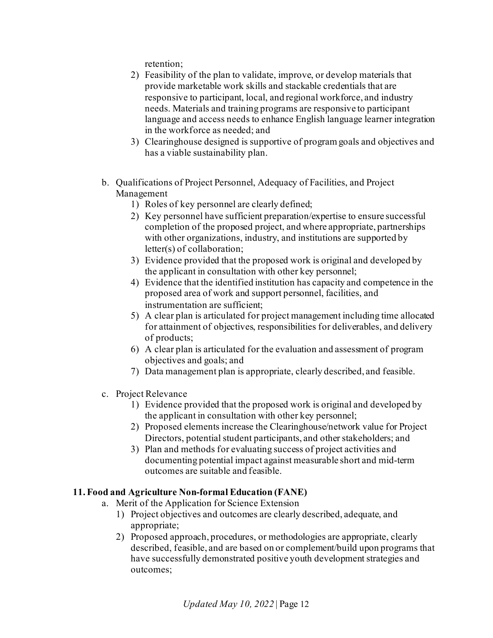retention;

- 2) Feasibility of the plan to validate, improve, or develop materials that provide marketable work skills and stackable credentials that are responsive to participant, local, and regional workforce, and industry needs. Materials and training programs are responsive to participant language and access needs to enhance English language learner integration in the workforce as needed; and
- 3) Clearinghouse designed is supportive of program goals and objectives and has a viable sustainability plan.
- b. Qualifications of Project Personnel, Adequacy of Facilities, and Project Management
	- 1) Roles of key personnel are clearly defined;
	- 2) Key personnel have sufficient preparation/expertise to ensure successful completion of the proposed project, and where appropriate, partnerships with other organizations, industry, and institutions are supported by letter(s) of collaboration;
	- 3) Evidence provided that the proposed work is original and developed by the applicant in consultation with other key personnel;
	- 4) Evidence that the identified institution has capacity and competence in the proposed area of work and support personnel, facilities, and instrumentation are sufficient;
	- 5) A clear plan is articulated for project management including time allocated for attainment of objectives, responsibilities for deliverables, and delivery of products;
	- 6) A clear plan is articulated for the evaluation and assessment of program objectives and goals; and
	- 7) Data management plan is appropriate, clearly described, and feasible.
- c. Project Relevance
	- 1) Evidence provided that the proposed work is original and developed by the applicant in consultation with other key personnel;
	- 2) Proposed elements increase the Clearinghouse/network value for Project Directors, potential student participants, and other stakeholders; and
	- 3) Plan and methods for evaluating success of project activities and documenting potential impact against measurable short and mid-term outcomes are suitable and feasible.

#### <span id="page-11-0"></span>**11.Food and Agriculture Non-formal Education (FANE)**

- a. Merit of the Application for Science Extension
	- 1) Project objectives and outcomes are clearly described, adequate, and appropriate;
	- 2) Proposed approach, procedures, or methodologies are appropriate, clearly described, feasible, and are based on or complement/build upon programs that have successfully demonstrated positive youth development strategies and outcomes;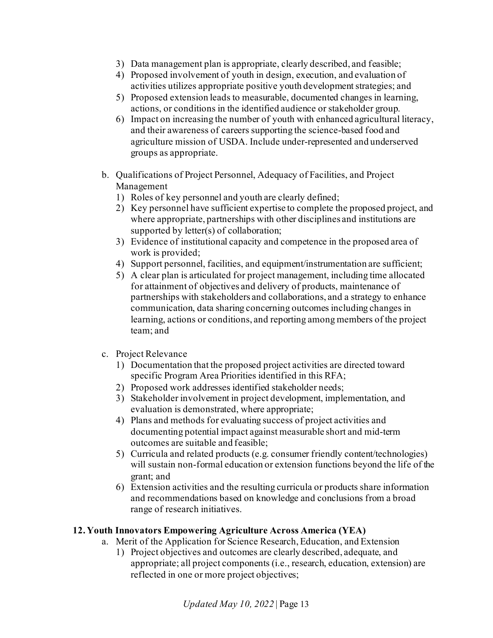- 3) Data management plan is appropriate, clearly described, and feasible;
- 4) Proposed involvement of youth in design, execution, and evaluation of activities utilizes appropriate positive youth development strategies; and
- 5) Proposed extension leads to measurable, documented changes in learning, actions, or conditions in the identified audience or stakeholder group.
- 6) Impact on increasing the number of youth with enhanced agricultural literacy, and their awareness of careers supporting the science-based food and agriculture mission of USDA. Include under-represented and underserved groups as appropriate.
- b. Qualifications of Project Personnel, Adequacy of Facilities, and Project Management
	- 1) Roles of key personnel and youth are clearly defined;
	- 2) Key personnel have sufficient expertise to complete the proposed project, and where appropriate, partnerships with other disciplines and institutions are supported by letter(s) of collaboration;
	- 3) Evidence of institutional capacity and competence in the proposed area of work is provided;
	- 4) Support personnel, facilities, and equipment/instrumentation are sufficient;
	- 5) A clear plan is articulated for project management, including time allocated for attainment of objectives and delivery of products, maintenance of partnerships with stakeholders and collaborations, and a strategy to enhance communication, data sharing concerning outcomes including changes in learning, actions or conditions, and reporting among members of the project team; and

#### c. Project Relevance

- 1) Documentation that the proposed project activities are directed toward specific Program Area Priorities identified in this RFA;
- 2) Proposed work addresses identified stakeholder needs;
- 3) Stakeholder involvement in project development, implementation, and evaluation is demonstrated, where appropriate;
- 4) Plans and methods for evaluating success of project activities and documenting potential impact against measurable short and mid-term outcomes are suitable and feasible;
- 5) Curricula and related products (e.g. consumer friendly content/technologies) will sustain non-formal education or extension functions beyond the life of the grant; and
- 6) Extension activities and the resulting curricula or products share information and recommendations based on knowledge and conclusions from a broad range of research initiatives.

## <span id="page-12-0"></span>**12. Youth Innovators Empowering Agriculture Across America (YEA)**

- a. Merit of the Application for Science Research, Education, and Extension
	- 1) Project objectives and outcomes are clearly described, adequate, and appropriate; all project components (i.e., research, education, extension) are reflected in one or more project objectives;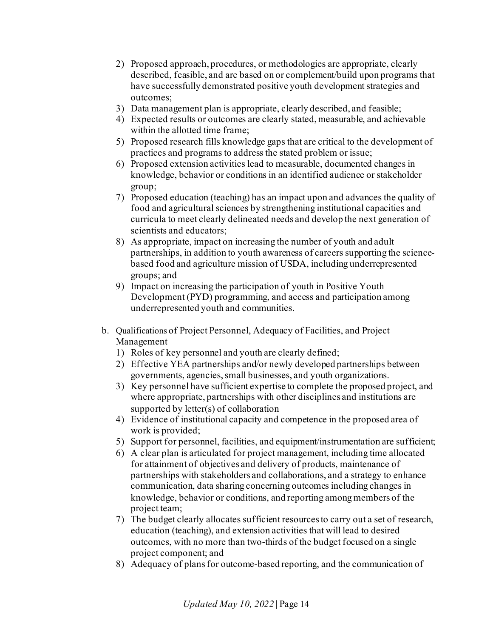- 2) Proposed approach, procedures, or methodologies are appropriate, clearly described, feasible, and are based on or complement/build upon programs that have successfully demonstrated positive youth development strategies and outcomes;
- 3) Data management plan is appropriate, clearly described, and feasible;
- 4) Expected results or outcomes are clearly stated, measurable, and achievable within the allotted time frame;
- 5) Proposed research fills knowledge gaps that are critical to the development of practices and programs to address the stated problem or issue;
- 6) Proposed extension activities lead to measurable, documented changes in knowledge, behavior or conditions in an identified audience or stakeholder group;
- 7) Proposed education (teaching) has an impact upon and advances the quality of food and agricultural sciences by strengthening institutional capacities and curricula to meet clearly delineated needs and develop the next generation of scientists and educators;
- 8) As appropriate, impact on increasing the number of youth and adult partnerships, in addition to youth awareness of careers supporting the sciencebased food and agriculture mission of USDA, including underrepresented groups; and
- 9) Impact on increasing the participation of youth in Positive Youth Development (PYD) programming, and access and participation among underrepresented youth and communities.
- b. Qualifications of Project Personnel, Adequacy of Facilities, and Project Management
	- 1) Roles of key personnel and youth are clearly defined;
	- 2) Effective YEA partnerships and/or newly developed partnerships between governments, agencies, small businesses, and youth organizations.
	- 3) Key personnel have sufficient expertise to complete the proposed project, and where appropriate, partnerships with other disciplines and institutions are supported by letter(s) of collaboration
	- 4) Evidence of institutional capacity and competence in the proposed area of work is provided;
	- 5) Support for personnel, facilities, and equipment/instrumentation are sufficient;
	- 6) A clear plan is articulated for project management, including time allocated for attainment of objectives and delivery of products, maintenance of partnerships with stakeholders and collaborations, and a strategy to enhance communication, data sharing concerning outcomes including changes in knowledge, behavior or conditions, and reporting among members of the project team;
	- 7) The budget clearly allocates sufficient resources to carry out a set of research, education (teaching), and extension activities that will lead to desired outcomes, with no more than two-thirds of the budget focused on a single project component; and
	- 8) Adequacy of plans for outcome-based reporting, and the communication of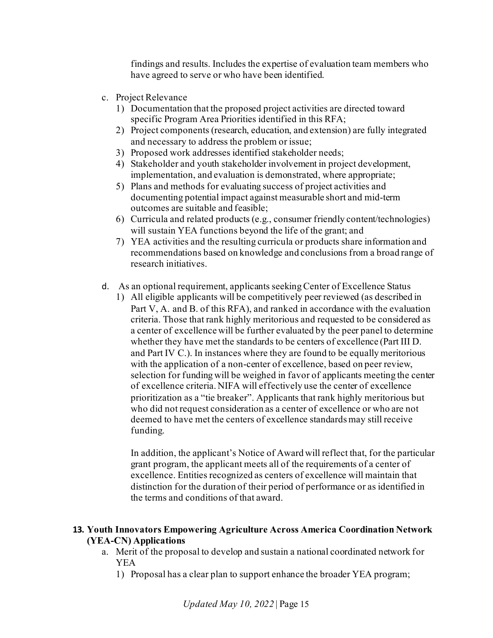findings and results. Includes the expertise of evaluation team members who have agreed to serve or who have been identified.

- c. Project Relevance
	- 1) Documentation that the proposed project activities are directed toward specific Program Area Priorities identified in this RFA;
	- 2) Project components (research, education, and extension) are fully integrated and necessary to address the problem or issue;
	- 3) Proposed work addresses identified stakeholder needs;
	- 4) Stakeholder and youth stakeholder involvement in project development, implementation, and evaluation is demonstrated, where appropriate;
	- 5) Plans and methods for evaluating success of project activities and documenting potential impact against measurable short and mid-term outcomes are suitable and feasible;
	- 6) Curricula and related products (e.g., consumer friendly content/technologies) will sustain YEA functions beyond the life of the grant; and
	- 7) YEA activities and the resulting curricula or products share information and recommendations based on knowledge and conclusions from a broad range of research initiatives.
- d. As an optional requirement, applicants seeking Center of Excellence Status
	- 1) All eligible applicants will be competitively peer reviewed (as described in Part V, A. and B. of this RFA), and ranked in accordance with the evaluation criteria. Those that rank highly meritorious and requested to be considered as a center of excellence will be further evaluated by the peer panel to determine whether they have met the standards to be centers of excellence (Part III D. and Part IV C.). In instances where they are found to be equally meritorious with the application of a non-center of excellence, based on peer review, selection for funding will be weighed in favor of applicants meeting the center of excellence criteria. NIFA will effectively use the center of excellence prioritization as a "tie breaker". Applicants that rank highly meritorious but who did not request consideration as a center of excellence or who are not deemed to have met the centers of excellence standards may still receive funding.

In addition, the applicant's Notice of Award will reflect that, for the particular grant program, the applicant meets all of the requirements of a center of excellence. Entities recognized as centers of excellence will maintain that distinction for the duration of their period of performance or as identified in the terms and conditions of that award.

#### <span id="page-14-0"></span>**13. Youth Innovators Empowering Agriculture Across America Coordination Network (YEA-CN) Applications**

- a. Merit of the proposal to develop and sustain a national coordinated network for YEA
	- 1) Proposal has a clear plan to support enhance the broader YEA program;